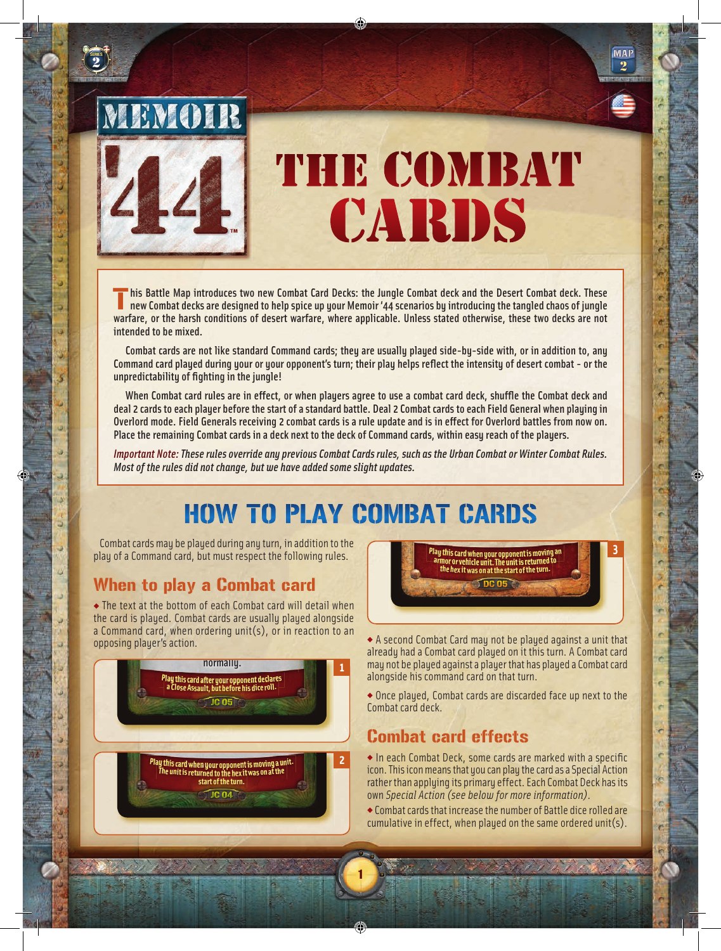

SERIES <u>2</u>

ù

v.

в

J

э

ü

b

# THE COMBAT CARDS

his Battle Map introduces two new Combat Card Decks: the Jungle Combat deck and the Desert Combat deck. These<br>new Combat decks are designed to help spice up your Memoir '44 scenarios by introducing the tangled chaos of jun warfare, or the harsh conditions of desert warfare, where applicable. Unless stated otherwise, these two decks are not<br>intended to he mixed intended to be mixed.

 Combat cards are not like standard Command cards; they are usually played side-by-side with, or in addition to, any Command card played during your or your opponent's turn; their play helps reflect the intensity of desert combat - or the unpredictability of fighting in the jungle!

When Combat card rules are in effect, or when players agree to use a combat card deck, shuffle the Combat deck and deal 2 cards to each player before the start of a standard battle. Deal 2 Combat cards to each Field General when playing in Overlord mode. Field Generals receiving 2 combat cards is a rule update and is in effect for Overlord battles from now on. Place the remaining Combat cards in a deck next to the deck of Command cards, within easy reach of the players.<br>'

*Important Note: These rules override any previous Combat Cards rules, such as the Urban Combat or Winter Combat Rules. Most of the rules did not change, but we have added some slight updates.* 

#### HOW TO PLAY COMBAT CARDS VEHICLE unit has sand in its engine. THARDS **THARD** Unit may be

1

combat cards may be played during any turn, in addition to the play of a Command card, but must respect the following rules.

### When to play a Combat car<mark>d</mark>

◆ The text at the bottom of each Combat card will detail when the card is played. Combat cards are usually played alongside a Command card, when ordering unit(s), or in reaction to an opposing player's action.





One ordered enemy ARMOR or

**MAP**  $\overline{\mathbf{2}}$ 

×

è

é

ë

ë

ė

ń

◆ A second Combat Card may not be played against a unit that already had a Combat card played on it this turn. A Combat card may not be played against a player that has played a Combat card alongside his command card on that turn.

◆ Once played, Combat cards are discarded face up next to the Combat card deck.

### Combat card effects

 $\bullet$  In each Combat Deck, some cards are marked with a specific icon. This icon means that you can play the card as a Special Action rather than applying its primary effect. Each Combat Deck has its own *Special Action (see below for more information)*.

◆ Combat cards that increase the number of Battle dice rolled are cumulative in effect, when played on the same ordered unit(s).